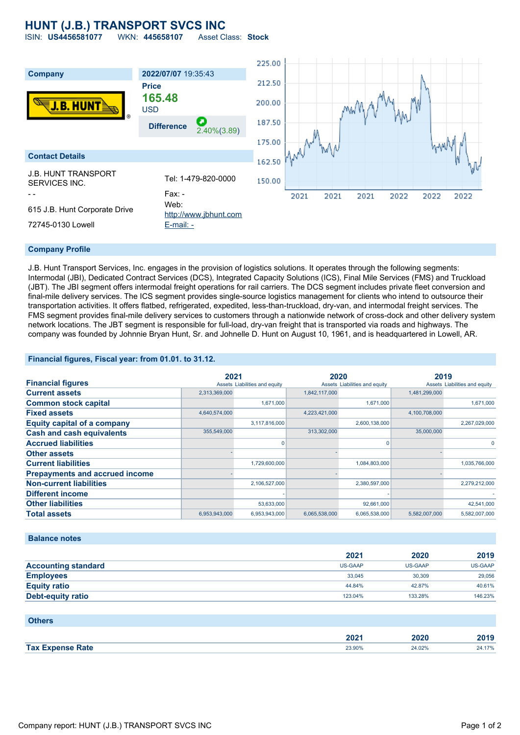## **HUNT (J.B.) TRANSPORT SVCS INC**

ISIN: **US4456581077** WKN: **445658107** Asset Class: **Stock**



### **Company Profile**

J.B. Hunt Transport Services, Inc. engages in the provision of logistics solutions. It operates through the following segments: Intermodal (JBI), Dedicated Contract Services (DCS), Integrated Capacity Solutions (ICS), Final Mile Services (FMS) and Truckload (JBT). The JBI segment offers intermodal freight operations for rail carriers. The DCS segment includes private fleet conversion and final-mile delivery services. The ICS segment provides single-source logistics management for clients who intend to outsource their transportation activities. It offers flatbed, refrigerated, expedited, less-than-truckload, dry-van, and intermodal freight services. The FMS segment provides final-mile delivery services to customers through a nationwide network of cross-dock and other delivery system network locations. The JBT segment is responsible for full-load, dry-van freight that is transported via roads and highways. The company was founded by Johnnie Bryan Hunt, Sr. and Johnelle D. Hunt on August 10, 1961, and is headquartered in Lowell, AR.

### **Financial figures, Fiscal year: from 01.01. to 31.12.**

|                                       | 2021          |                               | 2020          |                               | 2019          |                               |
|---------------------------------------|---------------|-------------------------------|---------------|-------------------------------|---------------|-------------------------------|
| <b>Financial figures</b>              |               | Assets Liabilities and equity |               | Assets Liabilities and equity |               | Assets Liabilities and equity |
| <b>Current assets</b>                 | 2,313,369,000 |                               | 1,842,117,000 |                               | 1,481,299,000 |                               |
| <b>Common stock capital</b>           |               | 1,671,000                     |               | 1,671,000                     |               | 1.671.000                     |
| <b>Fixed assets</b>                   | 4,640,574,000 |                               | 4,223,421,000 |                               | 4,100,708,000 |                               |
| <b>Equity capital of a company</b>    |               | 3,117,816,000                 |               | 2.600.138.000                 |               | 2,267,029,000                 |
| <b>Cash and cash equivalents</b>      | 355,549,000   |                               | 313,302,000   |                               | 35,000,000    |                               |
| <b>Accrued liabilities</b>            |               |                               |               |                               |               | 0                             |
| <b>Other assets</b>                   |               |                               |               |                               |               |                               |
| <b>Current liabilities</b>            |               | 1,729,600,000                 |               | 1,084,803,000                 |               | 1,035,766,000                 |
| <b>Prepayments and accrued income</b> |               |                               |               |                               |               |                               |
| <b>Non-current liabilities</b>        |               | 2,106,527,000                 |               | 2,380,597,000                 |               | 2,279,212,000                 |
| Different income                      |               |                               |               |                               |               |                               |
| <b>Other liabilities</b>              |               | 53,633,000                    |               | 92,661,000                    |               | 42,541,000                    |
| <b>Total assets</b>                   | 6,953,943,000 | 6,953,943,000                 | 6,065,538,000 | 6,065,538,000                 | 5,582,007,000 | 5,582,007,000                 |

### **Balance notes**

|                            | 2021    | 2020    | 2019    |
|----------------------------|---------|---------|---------|
| <b>Accounting standard</b> | US-GAAP | US-GAAP | US-GAAP |
| <b>Employees</b>           | 33.045  | 30,309  | 29,056  |
| <b>Equity ratio</b>        | 44.84%  | 42.87%  | 40.61%  |
| <b>Debt-equity ratio</b>   | 123.04% | 133.28% | 146.23% |

| <b>Others</b>           |        |        |        |
|-------------------------|--------|--------|--------|
|                         | 2021   | 2020   | 2019   |
| <b>Tax Expense Rate</b> | 23.90% | 24.02% | 24.17% |